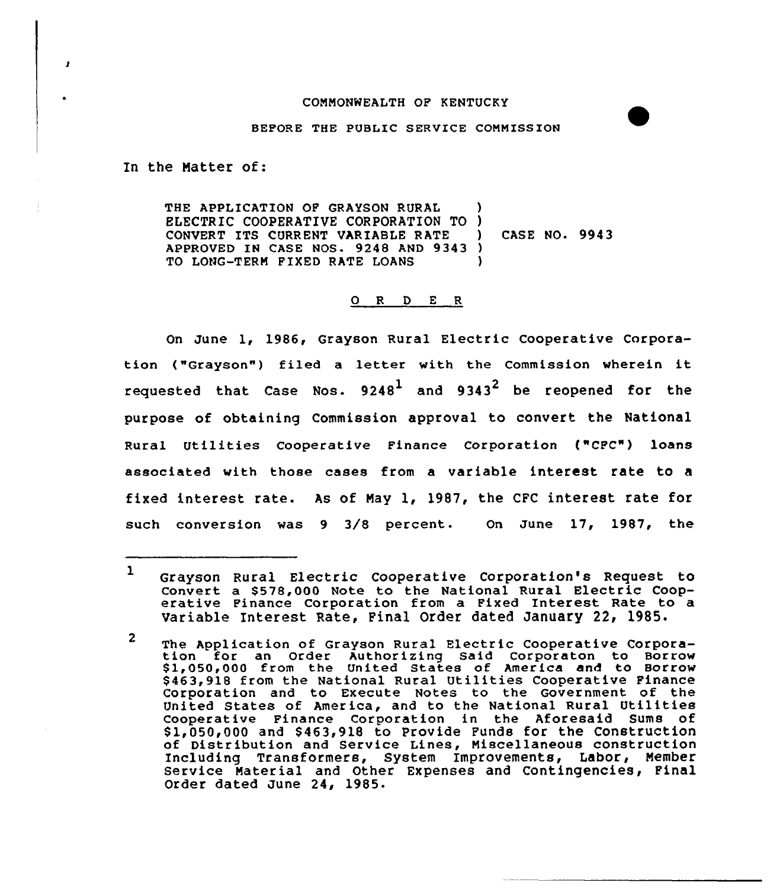## COMMONWEALTH OF KENTUCKY

## BEFORE THE PUBLIC SERVICE CONNISSION

In the Natter of:

 $\cdot$ 

THE APPLICATION OF GRAYSON RURAL ELECTRIC COOPERATIVE CORPORATION TO )<br>CONVERT ITS CURRENT VARIABLE RATE CONVERT ITS CURRENT VARIABLE RATE ) CASE NO. 9943 APPROVED IN CASE NOS. 9248 AND 9343 )<br>TO LONG-TERM FIXED RATE LOANS TO LONG-TERM FIXED RATE LOANS

## 0 <sup>R</sup> <sup>D</sup> <sup>E</sup> <sup>R</sup>

On June 1, 1986< Grayson Rural Electric cooperative Corporation ("Grayson") filed a letter with the Commission wherein it requested that Case Nos.  $9248<sup>1</sup>$  and  $9343<sup>2</sup>$  be reopened for the purpose of obtaining Commission approval to convert the National Rural Utilities Cooperative Finance Corporation ("CPC") loans associated with those cases from a variable interest rate to a fixed interest rate. As of May l, 1987, the CPC interest rate for such conversion was 9 3/8 percent. On June 17, 1987, the

 $\mathbf{1}$ Grayson Rural Electric Cooperative Corporation's Request to Convert a \$578,000 Note to the National Rural Electric Cooperative Finance Corporation from a Fixed Interest Rate to a variable Interest Rate, Final Order dated January 22, 1985.

 $\mathbf{2}$ The Application of Grayson Rural Electric Cooperative Corpora- tion for an order Authorizing said corporaton to Borrow 81,050,000 from the United States of America and to Borrow \$ 463,918 from the National Rural Utilities Cooperative Finance Corporation and to Execute Notes to the Government of the United States of America, and to the National Rural Utilities cooperative Finance Corporation in the Aforesaid Sums of \$1,050,000 and \$463,918 to Provide Funds for the Construction of Distribution and Service Lines, Miscellaneous construction Including Transformers, System Improvements, Labor, Member Service Material and Other Expenses and Contingencies, Final Order dated June 24, 1985.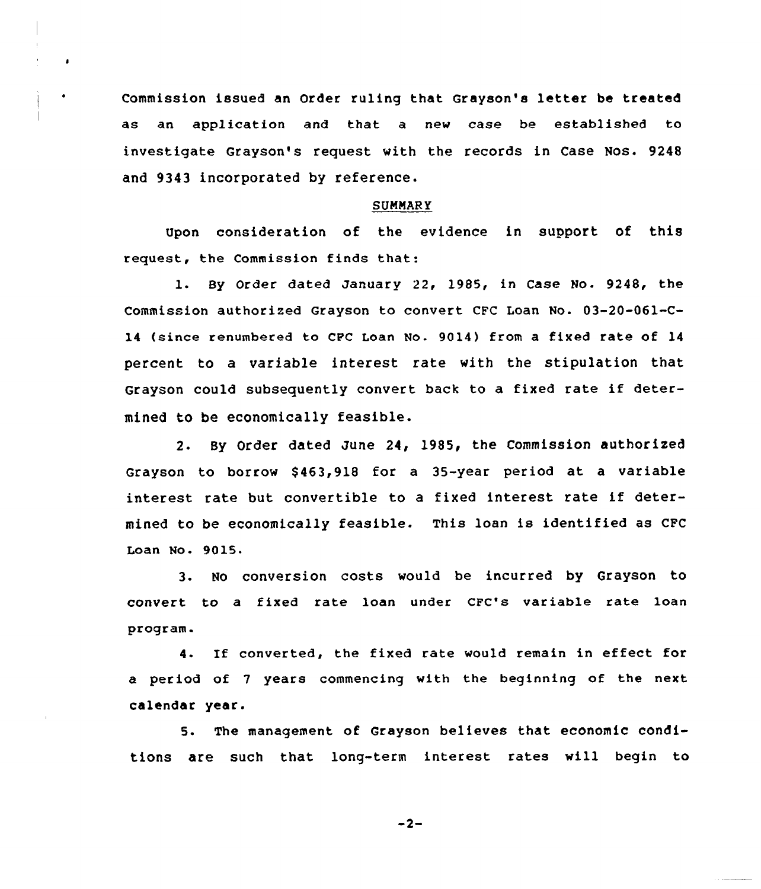Commission issued an Order ruling that Grayson's letter be treated as an application and that a new case be established to investigate Grayson's request with the records in Case Nos. 9248 and 9343 incorporated by reference.

## **SUMMARY**

Upon consideration of the evidence in support of this request, the Commission finds that:

1. By Order dated January 22, 1985, in Case No. 9248, the Commission authorized Grayson to convert CFC Loan No. 03-20-061-C-14 (since renumbered to CPC Loan No. 9014) from a fixed rate of 14 percent to a variable interest rate with the stipulation that Grayson could subsequently convert back to <sup>a</sup> fixed rate if determined to be economically feasible.

2. By Order dated June 24, 1985, the Commission authorized Grayson to borrow \$463,918 for a 35-year period at a variable interest rate but convertible to <sup>a</sup> fixed interest rate if determined to be economically feasible. This loan is identified as CFC Loan No. 9015.

3. No conversion costs would be incurred by Grayson to convert to a fixed rate loan under CFC's variable rate loan program

4. If converted, the fixed rate would remain in effect for a period of <sup>7</sup> years commencing with the beginning of the next calendar year.

5. The management of Grayson believes that economic conditions are such that long-term interest rates will begin to

 $-2-$